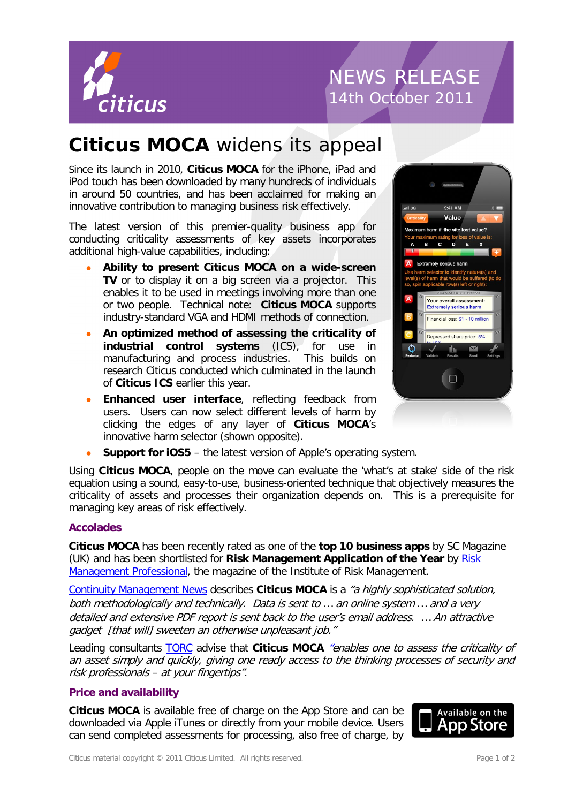

# NEWS RELEASE 14th October 2011

### **Citicus MOCA** widens its appeal

Since its launch in 2010, **Citicus MOCA** for the iPhone, iPad and iPod touch has been downloaded by many hundreds of individuals in around 50 countries, and has been acclaimed for making an innovative contribution to managing business risk effectively.

The latest version of this premier-quality business app for conducting criticality assessments of key assets incorporates additional high-value capabilities, including:

- **Ability to present Citicus MOCA on a wide-screen TV** or to display it on a big screen via a projector. This enables it to be used in meetings involving more than one or two people. Technical note: **Citicus MOCA** supports industry-standard VGA and HDMI methods of connection.
- **An optimized method of assessing the criticality of industrial control systems** (ICS), for use in manufacturing and process industries. This builds on research Citicus conducted which culminated in the launch of **Citicus ICS** earlier this year.
- **Enhanced user interface**, reflecting feedback from users. Users can now select different levels of harm by clicking the edges of any layer of **Citicus MOCA**'s innovative harm selector (shown opposite).



**Support for iOS5** – the latest version of Apple's operating system.

Using **Citicus MOCA**, people on the move can evaluate the 'what's at stake' side of the risk equation using a sound, easy-to-use, business-oriented technique that objectively measures the criticality of assets and processes their organization depends on. This is a prerequisite for managing key areas of risk effectively.

### **Accolades**

**Citicus MOCA** has been recently rated as one of the **top 10 business apps** by SC Magazine (UK) and has been shortlisted for **Risk Management Application of the Year** by [Risk](http://www.rmprofessional.com/)  [Management Professional,](http://www.rmprofessional.com/) the magazine of the Institute of Risk Management.

[Continuity Management News](http://www.bcm-news.de/2010/12/02/bia-tool-fuer-das-iphone-ipad-und-ipod-touch/) describes **Citicus MOCA** is a "a highly sophisticated solution, both methodologically and technically. Data is sent to … an online system … and a very detailed and extensive PDF report is sent back to the user's email address. … An attractive gadget [that will] sweeten an otherwise unpleasant job."

Leading consultants [TORC](http://torc.ie/decision-making-new-iphone-apps/) advise that **Citicus MOCA** "enables one to assess the criticality of an asset simply and quickly, giving one ready access to the thinking processes of security and risk professionals – at your fingertips".

### **Price and availability**

**Citicus MOCA** is available free of charge on the App Store and can be downloaded via Apple iTunes or directly from your mobile device. Users can send completed assessments for processing, also free of charge, by